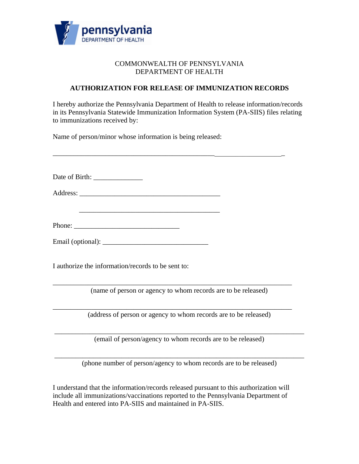

## COMMONWEALTH OF PENNSYLVANIA DEPARTMENT OF HEALTH

## **AUTHORIZATION FOR RELEASE OF IMMUNIZATION RECORDS**

I hereby authorize the Pennsylvania Department of Health to release information/records in its Pennsylvania Statewide Immunization Information System (PA-SIIS) files relating to immunizations received by:

\_\_\_\_\_\_\_\_\_\_\_\_\_\_\_\_\_\_\_\_\_\_\_\_\_\_\_\_\_\_\_\_\_\_\_\_\_\_\_\_\_\_\_\_\_\_\_\_\_\_\_\_\_\_\_\_\_\_\_\_\_\_\_\_\_\_

Name of person/minor whose information is being released:

Date of Birth:

Address: \_\_\_\_\_\_\_\_\_\_\_\_\_\_\_\_\_\_\_\_\_\_\_\_\_\_\_\_\_\_\_\_\_\_\_\_\_\_\_\_

 $\frac{1}{2}$  ,  $\frac{1}{2}$  ,  $\frac{1}{2}$  ,  $\frac{1}{2}$  ,  $\frac{1}{2}$  ,  $\frac{1}{2}$  ,  $\frac{1}{2}$  ,  $\frac{1}{2}$  ,  $\frac{1}{2}$  ,  $\frac{1}{2}$  ,  $\frac{1}{2}$  ,  $\frac{1}{2}$  ,  $\frac{1}{2}$  ,  $\frac{1}{2}$  ,  $\frac{1}{2}$  ,  $\frac{1}{2}$  ,  $\frac{1}{2}$  ,  $\frac{1}{2}$  ,  $\frac{1$ 

Email (optional): \_\_\_\_\_\_\_\_\_\_\_\_\_\_\_\_\_\_\_\_\_\_\_\_\_\_\_\_\_\_

I authorize the information/records to be sent to:

(name of person or agency to whom records are to be released)

\_\_\_\_\_\_\_\_\_\_\_\_\_\_\_\_\_\_\_\_\_\_\_\_\_\_\_\_\_\_\_\_\_\_\_\_\_\_\_\_\_\_\_\_\_\_\_\_\_\_\_\_\_\_\_\_\_\_\_\_\_\_\_\_\_\_\_\_

\_\_\_\_\_\_\_\_\_\_\_\_\_\_\_\_\_\_\_\_\_\_\_\_\_\_\_\_\_\_\_\_\_\_\_\_\_\_\_\_\_\_\_\_\_\_\_\_\_\_\_\_\_\_\_\_\_\_\_\_\_\_\_\_\_\_\_\_

(address of person or agency to whom records are to be released)

\_\_\_\_\_\_\_\_\_\_\_\_\_\_\_\_\_\_\_\_\_\_\_\_\_\_\_\_\_\_\_\_\_\_\_\_\_\_\_\_\_\_\_\_\_\_\_\_\_\_\_\_\_\_\_\_\_\_\_\_\_\_\_\_\_\_\_\_\_\_\_ (email of person/agency to whom records are to be released)

\_\_\_\_\_\_\_\_\_\_\_\_\_\_\_\_\_\_\_\_\_\_\_\_\_\_\_\_\_\_\_\_\_\_\_\_\_\_\_\_\_\_\_\_\_\_\_\_\_\_\_\_\_\_\_\_\_\_\_\_\_\_\_\_\_\_\_\_\_\_\_ (phone number of person/agency to whom records are to be released)

I understand that the information/records released pursuant to this authorization will include all immunizations/vaccinations reported to the Pennsylvania Department of Health and entered into PA-SIIS and maintained in PA-SIIS.